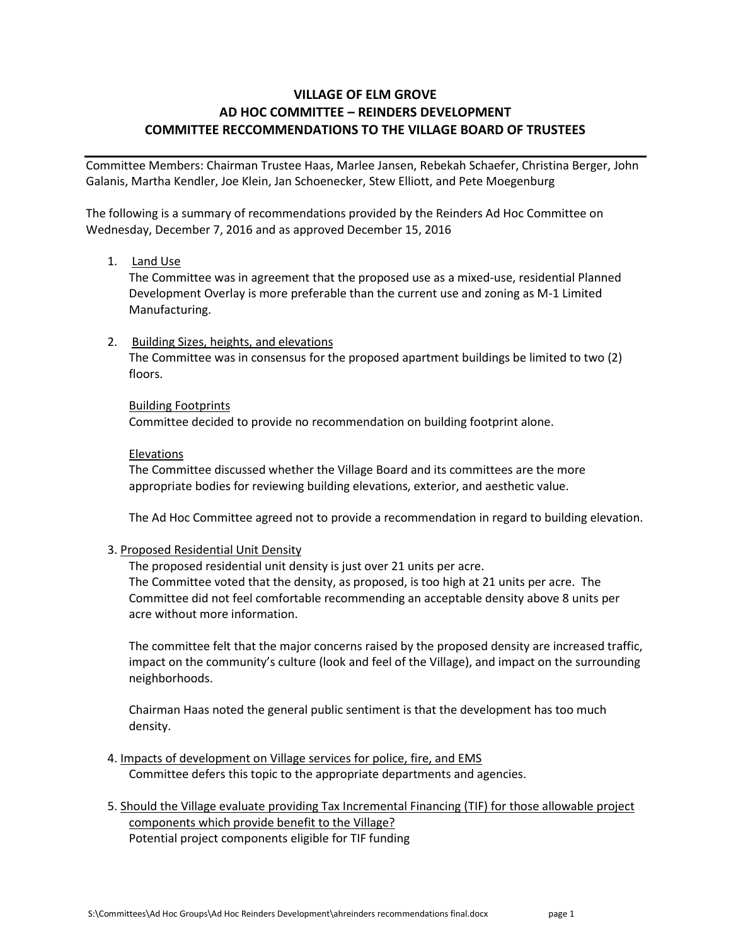## **VILLAGE OF ELM GROVE AD HOC COMMITTEE – REINDERS DEVELOPMENT COMMITTEE RECCOMMENDATIONS TO THE VILLAGE BOARD OF TRUSTEES**

Committee Members: Chairman Trustee Haas, Marlee Jansen, Rebekah Schaefer, Christina Berger, John Galanis, Martha Kendler, Joe Klein, Jan Schoenecker, Stew Elliott, and Pete Moegenburg

The following is a summary of recommendations provided by the Reinders Ad Hoc Committee on Wednesday, December 7, 2016 and as approved December 15, 2016

## 1. **Land Use**

The Committee was in agreement that the proposed use as a mixed-use, residential Planned Development Overlay is more preferable than the current use and zoning as M-1 Limited Manufacturing.

## 2. Building Sizes, heights, and elevations

The Committee was in consensus for the proposed apartment buildings be limited to two (2) floors.

## Building Footprints

Committee decided to provide no recommendation on building footprint alone.

## Elevations

The Committee discussed whether the Village Board and its committees are the more appropriate bodies for reviewing building elevations, exterior, and aesthetic value.

The Ad Hoc Committee agreed not to provide a recommendation in regard to building elevation.

## 3. Proposed Residential Unit Density

The proposed residential unit density is just over 21 units per acre. The Committee voted that the density, as proposed, is too high at 21 units per acre. The Committee did not feel comfortable recommending an acceptable density above 8 units per acre without more information.

The committee felt that the major concerns raised by the proposed density are increased traffic, impact on the community's culture (look and feel of the Village), and impact on the surrounding neighborhoods.

Chairman Haas noted the general public sentiment is that the development has too much density.

- 4. Impacts of development on Village services for police, fire, and EMS Committee defers this topic to the appropriate departments and agencies.
- 5. Should the Village evaluate providing Tax Incremental Financing (TIF) for those allowable project components which provide benefit to the Village? Potential project components eligible for TIF funding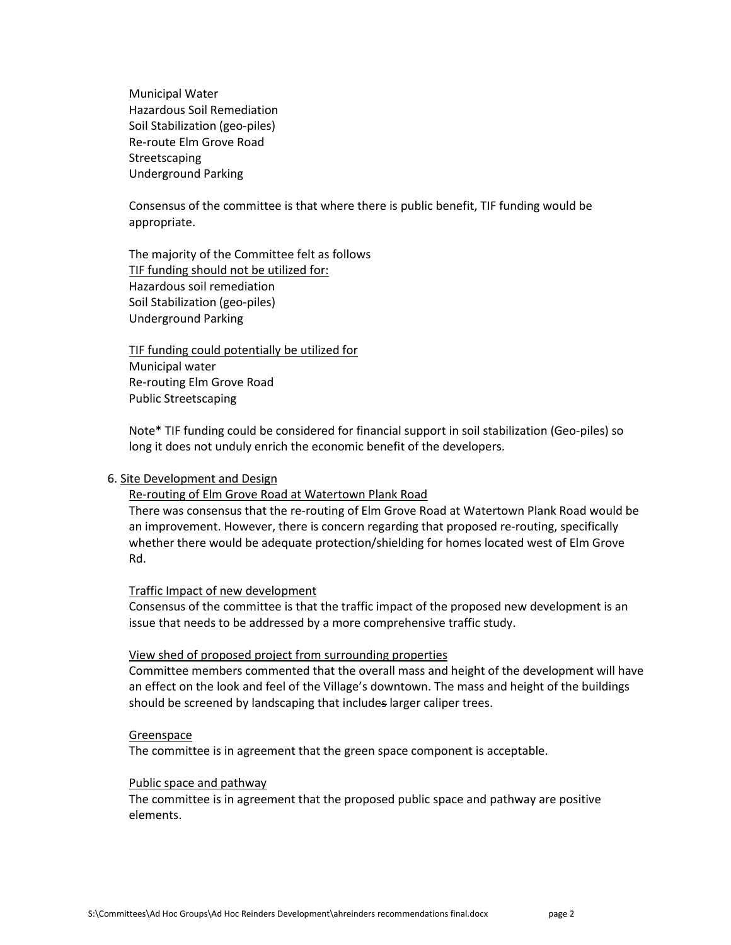Municipal Water Hazardous Soil Remediation Soil Stabilization (geo-piles) Re-route Elm Grove Road Streetscaping Underground Parking

Consensus of the committee is that where there is public benefit, TIF funding would be appropriate.

The majority of the Committee felt as follows TIF funding should not be utilized for: Hazardous soil remediation Soil Stabilization (geo-piles) Underground Parking

TIF funding could potentially be utilized for Municipal water Re-routing Elm Grove Road Public Streetscaping

Note\* TIF funding could be considered for financial support in soil stabilization (Geo-piles) so long it does not unduly enrich the economic benefit of the developers.

### 6. Site Development and Design

## Re-routing of Elm Grove Road at Watertown Plank Road

There was consensus that the re-routing of Elm Grove Road at Watertown Plank Road would be an improvement. However, there is concern regarding that proposed re-routing, specifically whether there would be adequate protection/shielding for homes located west of Elm Grove Rd.

#### Traffic Impact of new development

Consensus of the committee is that the traffic impact of the proposed new development is an issue that needs to be addressed by a more comprehensive traffic study.

#### View shed of proposed project from surrounding properties

Committee members commented that the overall mass and height of the development will have an effect on the look and feel of the Village's downtown. The mass and height of the buildings should be screened by landscaping that includes larger caliper trees.

#### **Greenspace**

The committee is in agreement that the green space component is acceptable.

#### Public space and pathway

The committee is in agreement that the proposed public space and pathway are positive elements.